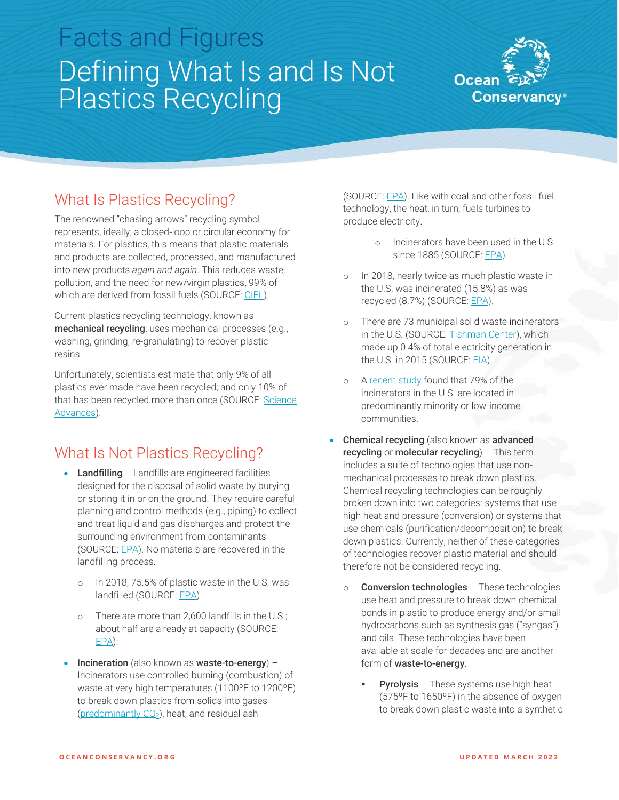# Facts and Figures Defining What Is and Is Not Plastics Recycling



## What Is Plastics Recycling?

The renowned "chasing arrows" recycling symbol represents, ideally, a closed-loop or circular economy for materials. For plastics, this means that plastic materials and products are collected, processed, and manufactured into new products *again and again*. This reduces waste, pollution, and the need for new/virgin plastics, 99% of which are derived from fossil fuels (SOURCE: [CIEL\)](https://www.ciel.org/wp-content/uploads/2017/09/Fueling-Plastics-Fossils-Plastics-Petrochemical-Feedstocks.pdf).

Current plastics recycling technology, known as mechanical recycling, uses mechanical processes (e.g., washing, grinding, re-granulating) to recover plastic resins.

Unfortunately, scientists estimate that only 9% of all plastics ever made have been recycled; and only 10% of that has been recycled more than once (SOURCE: Science [Advances\)](https://www.science.org/doi/10.1126/sciadv.1700782).

### What Is Not Plastics Recycling?

- Landfilling Landfills are engineered facilities designed for the disposal of solid waste by burying or storing it in or on the ground. They require careful planning and control methods (e.g., piping) to collect and treat liquid and gas discharges and protect the surrounding environment from contaminants (SOURCE: [EPA\)](https://www.epa.gov/landfills/basic-information-about-landfills#whatis). No materials are recovered in the landfilling process.
	- o In 2018, 75.5% of plastic waste in the U.S. was landfilled (SOURCE[: EPA\)](https://www.epa.gov/sites/default/files/2021-01/documents/2018_ff_fact_sheet_dec_2020_fnl_508.pdf).
	- o There are more than 2,600 landfills in the U.S.; about half are already at capacity (SOURCE: [EPA\)](https://www.epa.gov/lmop/landfill-technical-data).
- Incineration (also known as waste-to-energy) Incinerators use controlled burning (combustion) of waste at very high temperatures (1100ºF to 1200ºF) to break down plastics from solids into gases (predominantly  $CO<sub>2</sub>$ ), heat, and residual ash

(SOURCE[: EPA\)](https://www.epa.gov/sites/default/files/2017-02/documents/incin.pdf). Like with coal and other fossil fuel technology, the heat, in turn, fuels turbines to produce electricity.

- o Incinerators have been used in the U.S. since 1885 (SOURCE: [EPA\)](https://www.epa.gov/smm/energy-recovery-combustion-municipal-solid-waste-msw#:~:text=Energy%20recovery%20from%20waste%20is,often%20called%20waste%20to%20energy.).
- o In 2018, nearly twice as much plastic waste in the U.S. was incinerated (15.8%) as was recycled (8.7%) (SOURCE: [EPA\)](https://www.epa.gov/sites/default/files/2021-01/documents/2018_ff_fact_sheet_dec_2020_fnl_508.pdf).
- o There are 73 municipal solid waste incinerators in the U.S. (SOURCE[: Tishman Center\)](https://www.no-burn.org/wp-content/uploads/2021/03/CR_GaiaReportFinal_05.21.pdf), which made up 0.4% of total electricity generation in the U.S. in 2015 (SOURCE: [EIA\)](https://www.eia.gov/todayinenergy/detail.php?id=25732).
- o [A recent study](https://www.no-burn.org/wp-content/uploads/2021/03/CR_GaiaReportFinal_05.21.pdf) found that 79% of the incinerators in the U.S. are located in predominantly minority or low-income communities.
- Chemical recycling (also known as advanced recycling or molecular recycling) – This term includes a suite of technologies that use nonmechanical processes to break down plastics. Chemical recycling technologies can be roughly broken down into two categories: systems that use high heat and pressure (conversion) or systems that use chemicals (purification/decomposition) to break down plastics. Currently, neither of these categories of technologies recover plastic material and should therefore not be considered recycling.
	- o Conversion technologies These technologies use heat and pressure to break down chemical bonds in plastic to produce energy and/or small hydrocarbons such as synthesis gas ("syngas") and oils. These technologies have been available at scale for decades and are another form of waste-to-energy.
		- **Pyrolysis** These systems use high heat (575ºF to 1650ºF) in the absence of oxygen to break down plastic waste into a synthetic